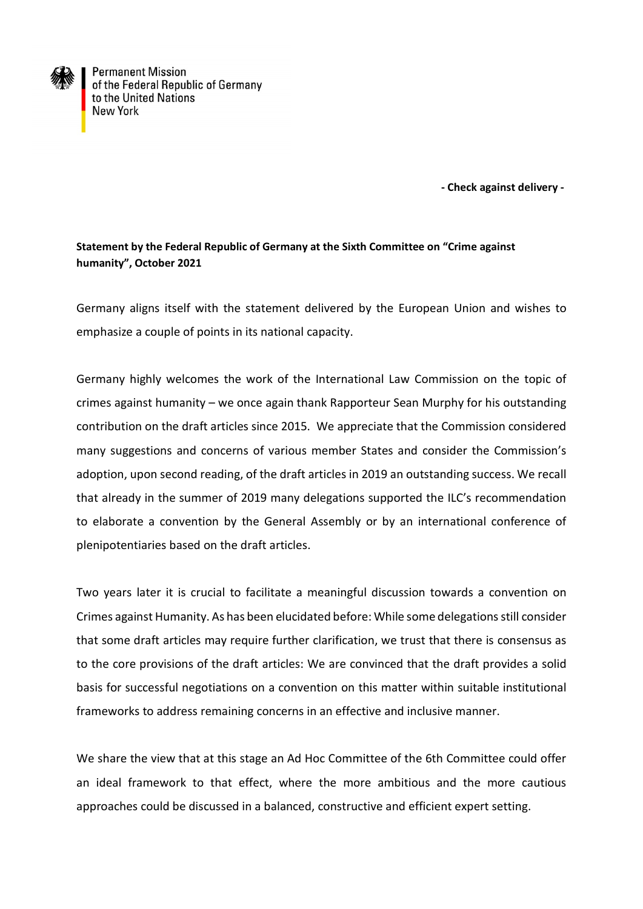

**Permanent Mission** of the Federal Republic of Germany to the United Nations **New York** 

 **- Check against delivery -**

## **Statement by the Federal Republic of Germany at the Sixth Committee on "Crime against humanity", October 2021**

Germany aligns itself with the statement delivered by the European Union and wishes to emphasize a couple of points in its national capacity.

Germany highly welcomes the work of the International Law Commission on the topic of crimes against humanity – we once again thank Rapporteur Sean Murphy for his outstanding contribution on the draft articles since 2015. We appreciate that the Commission considered many suggestions and concerns of various member States and consider the Commission's adoption, upon second reading, of the draft articles in 2019 an outstanding success. We recall that already in the summer of 2019 many delegations supported the ILC's recommendation to elaborate a convention by the General Assembly or by an international conference of plenipotentiaries based on the draft articles.

Two years later it is crucial to facilitate a meaningful discussion towards a convention on Crimes against Humanity. As has been elucidated before: While some delegations still consider that some draft articles may require further clarification, we trust that there is consensus as to the core provisions of the draft articles: We are convinced that the draft provides a solid basis for successful negotiations on a convention on this matter within suitable institutional frameworks to address remaining concerns in an effective and inclusive manner.

We share the view that at this stage an Ad Hoc Committee of the 6th Committee could offer an ideal framework to that effect, where the more ambitious and the more cautious approaches could be discussed in a balanced, constructive and efficient expert setting.